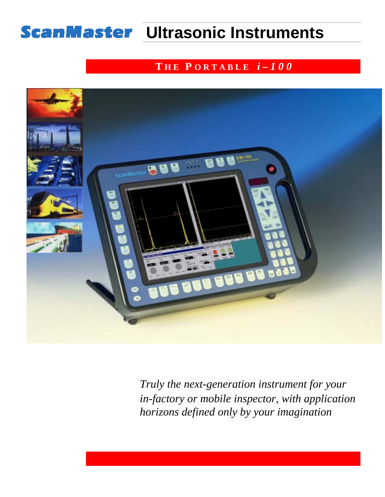# **ScanMaster Ultrasonic Instruments**

## **T H E P O R T A B L E** *i – 1 0 0*



*Truly the next-generation instrument for your in-factory or mobile inspector, with application horizons defined only by your imagination*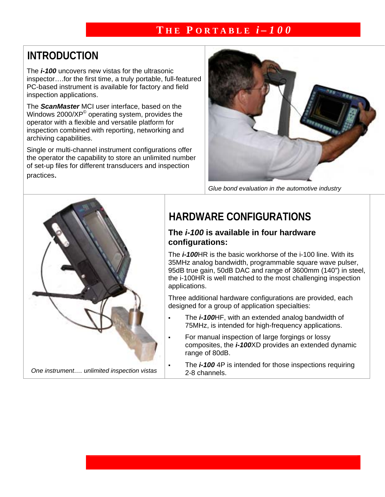## **INTRODUCTION**

The *i-100* uncovers new vistas for the ultrasonic inspector….for the first time, a truly portable, full-featured PC-based instrument is available for factory and field inspection applications.

The *ScanMaster* MCI user interface, based on the Windows 2000/XP© operating system, provides the operator with a flexible and versatile platform for inspection combined with reporting, networking and archiving capabilities.

Single or multi-channel instrument configurations offer the operator the capability to store an unlimited number of set-up files for different transducers and inspection practices.



*Glue bond evaluation in the automotive industry*



# **HARDWARE CONFIGURATIONS**

### **The** *i-100* **is available in four hardware configurations:**

The *i-100*HR is the basic workhorse of the i-100 line. With its 35MHz analog bandwidth, programmable square wave pulser, 95dB true gain, 50dB DAC and range of 3600mm (140") in steel, the i-100HR is well matched to the most challenging inspection applications.

Three additional hardware configurations are provided, each designed for a group of application specialties:

- ! The *i-100*HF, with an extended analog bandwidth of 75MHz, is intended for high-frequency applications.
	- For manual inspection of large forgings or lossy composites, the *i-100*XD provides an extended dynamic range of 80dB.
	- The *i-100* 4P is intended for those inspections requiring 2-8 channels.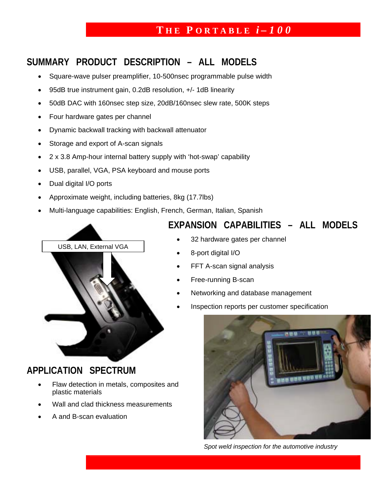## **SUMMARY PRODUCT DESCRIPTION – ALL MODELS**

- Square-wave pulser preamplifier, 10-500nsec programmable pulse width
- 95dB true instrument gain, 0.2dB resolution, +/- 1dB linearity
- 50dB DAC with 160nsec step size, 20dB/160nsec slew rate, 500K steps
- Four hardware gates per channel
- Dynamic backwall tracking with backwall attenuator
- Storage and export of A-scan signals
- 2 x 3.8 Amp-hour internal battery supply with 'hot-swap' capability
- USB, parallel, VGA, PSA keyboard and mouse ports
- Dual digital I/O ports
- Approximate weight, including batteries, 8kg (17.7lbs)
- Multi-language capabilities: English, French, German, Italian, Spanish



## **APPLICATION SPECTRUM**

- Flaw detection in metals, composites and plastic materials
- Wall and clad thickness measurements
- A and B-scan evaluation

## **EXPANSION CAPABILITIES – ALL MODELS**

- 32 hardware gates per channel
- 8-port digital I/O
- FFT A-scan signal analysis
- Free-running B-scan
- Networking and database management
- Inspection reports per customer specification



*Spot weld inspection for the automotive industry*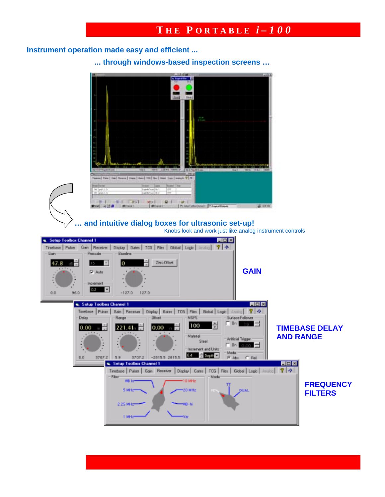### **Instrument operation made easy and efficient ...**

**... through windows-based inspection screens …** 

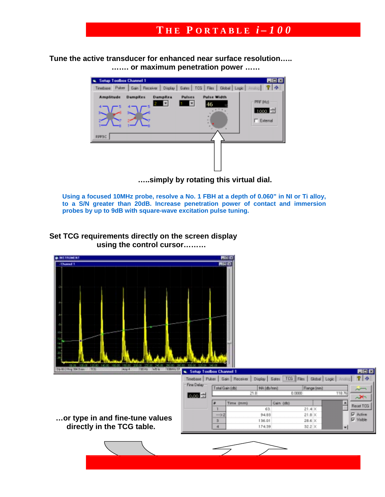**Tune the active transducer for enhanced near surface resolution….. ……. or maximum penetration power ……** 



 **…..simply by rotating this virtual dial.** 

**Using a focused 10MHz probe, resolve a No. 1 FBH at a depth of 0.060" in NI or Ti alloy, to a S/N greater than 20dB. Increase penetration power of contact and immersion probes by up to 9dB with square-wave excitation pulse tuning.** 

**Set TCG requirements directly on the screen display using the control cursor………** 

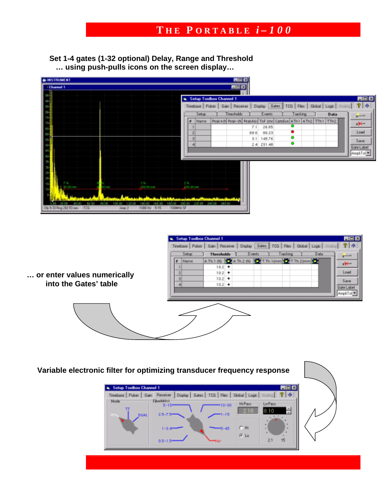**Set 1-4 gates (1-32 optional) Delay, Range and Threshold … using push-pulls icons on the screen display…** 



| or enter values numerically |  |
|-----------------------------|--|
| into the Gates' table       |  |





 **Variable electronic filter for optimizing transducer frequency response** 

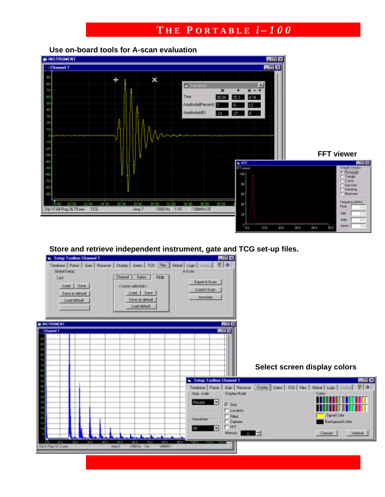**Use on-board tools for A-scan evaluation** 



### **Store and retrieve independent instrument, gate and TCG set-up files.**

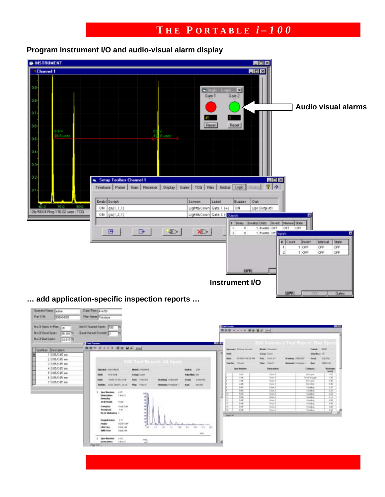

### **Program instrument I/O and audio-visual alarm display**

**… add application-specific inspection reports …** 

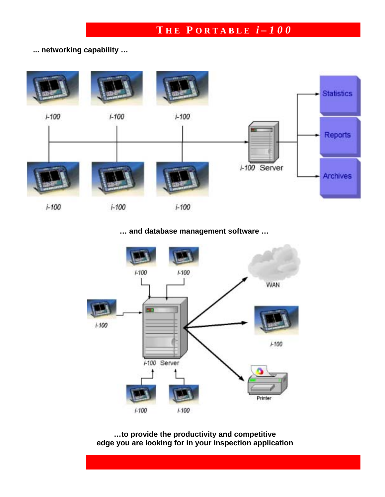### **... networking capability …**



### **… and database management software …**



**…to provide the productivity and competitive edge you are looking for in your inspection application**